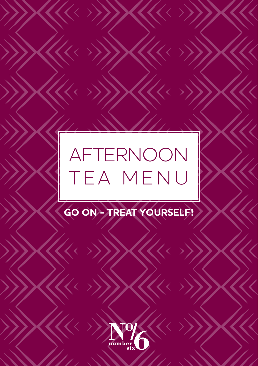# AFTERNOON TEA MENU

 $\overline{\langle\langle\langle\cdot|\rangle\rangle}$ 

 $\langle\!\langle\!\langle\!\langle \cdot\rangle\!\rangle\!\rangle$ 

 $\mathcal{U}\mathcal{U}$ 

 $\overline{\checkmark}$ 

 $\overline{\bm{\langle}}$ 

 $\overline{\bm{\langle}}$ 

 $\overline{\checkmark}$ 

 $\acute{}$ 

 $\overline{\checkmark}$ 

 $\overline{\bm{\mathcal{K}}}$ 

 $\mathcal{U} \leftrightarrow$ 

 $\overline{\langle\!\langle\!\langle \cdot \rangle \rangle\!\rangle}$ 

# **GO ON - TREAT YOURSELF!**

 $\blacktriangle\hspace{-.15cm}\blacktriangle\hspace{-.15cm}\blacktriangle\hspace{-.15cm}\blacktriangle\hspace{-.15cm}\blacktriangle\hspace{-.15cm}\blacktriangle\hspace{-.15cm}\blacktriangle\hspace{-.15cm}\blacktriangle\hspace{-.15cm}\blacktriangle\hspace{-.15cm}\blacktriangle\hspace{-.15cm}\blacktriangle\hspace{-.15cm}\blacktriangle\hspace{-.15cm}\blacktriangle\hspace{-.15cm}\blacktriangle\hspace{-.15cm}\blacktriangle\hspace{-.15cm}\blacktriangle\hspace{-.15cm}\blacktriangle\hspace{-.15cm}\blacktriangle\hspace{-.15cm}\blacktriangle\hspace{-.15cm}\blacktriangle\hspace{-.15cm$